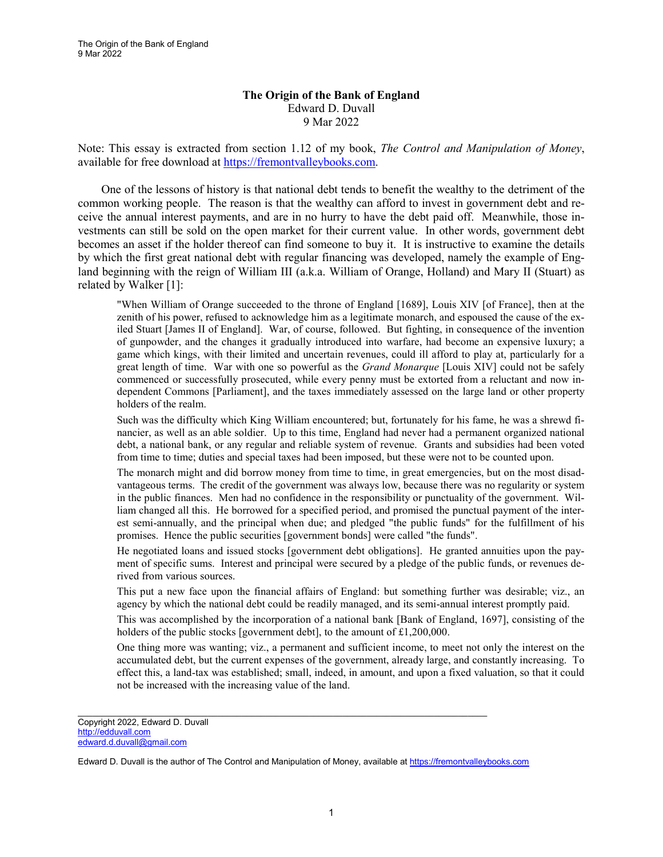The Origin of the Bank of England 9 Mar 2022

## **The Origin of the Bank of England** Edward D. Duvall 9 Mar 2022

Note: This essay is extracted from section 1.12 of my book, *The Control and Manipulation of Money*, available for free download at [https://fremontvalleybooks.com.](https://fremontvalleybooks.com/)

One of the lessons of history is that national debt tends to benefit the wealthy to the detriment of the common working people. The reason is that the wealthy can afford to invest in government debt and receive the annual interest payments, and are in no hurry to have the debt paid off. Meanwhile, those investments can still be sold on the open market for their current value. In other words, government debt becomes an asset if the holder thereof can find someone to buy it. It is instructive to examine the details by which the first great national debt with regular financing was developed, namely the example of England beginning with the reign of William III (a.k.a. William of Orange, Holland) and Mary II (Stuart) as related by Walker [1]:

"When William of Orange succeeded to the throne of England [1689], Louis XIV [of France], then at the zenith of his power, refused to acknowledge him as a legitimate monarch, and espoused the cause of the exiled Stuart [James II of England]. War, of course, followed. But fighting, in consequence of the invention of gunpowder, and the changes it gradually introduced into warfare, had become an expensive luxury; a game which kings, with their limited and uncertain revenues, could ill afford to play at, particularly for a great length of time. War with one so powerful as the *Grand Monarque* [Louis XIV] could not be safely commenced or successfully prosecuted, while every penny must be extorted from a reluctant and now independent Commons [Parliament], and the taxes immediately assessed on the large land or other property holders of the realm.

Such was the difficulty which King William encountered; but, fortunately for his fame, he was a shrewd financier, as well as an able soldier. Up to this time, England had never had a permanent organized national debt, a national bank, or any regular and reliable system of revenue. Grants and subsidies had been voted from time to time; duties and special taxes had been imposed, but these were not to be counted upon.

The monarch might and did borrow money from time to time, in great emergencies, but on the most disadvantageous terms. The credit of the government was always low, because there was no regularity or system in the public finances. Men had no confidence in the responsibility or punctuality of the government. William changed all this. He borrowed for a specified period, and promised the punctual payment of the interest semi-annually, and the principal when due; and pledged "the public funds" for the fulfillment of his promises. Hence the public securities [government bonds] were called "the funds".

He negotiated loans and issued stocks [government debt obligations]. He granted annuities upon the payment of specific sums. Interest and principal were secured by a pledge of the public funds, or revenues derived from various sources.

This put a new face upon the financial affairs of England: but something further was desirable; viz., an agency by which the national debt could be readily managed, and its semi-annual interest promptly paid.

This was accomplished by the incorporation of a national bank [Bank of England, 1697], consisting of the holders of the public stocks [government debt], to the amount of £1,200,000.

One thing more was wanting; viz., a permanent and sufficient income, to meet not only the interest on the accumulated debt, but the current expenses of the government, already large, and constantly increasing. To effect this, a land-tax was established; small, indeed, in amount, and upon a fixed valuation, so that it could not be increased with the increasing value of the land.

 $\mathcal{L}_\mathcal{L} = \{ \mathcal{L}_\mathcal{L} = \{ \mathcal{L}_\mathcal{L} = \{ \mathcal{L}_\mathcal{L} = \{ \mathcal{L}_\mathcal{L} = \{ \mathcal{L}_\mathcal{L} = \{ \mathcal{L}_\mathcal{L} = \{ \mathcal{L}_\mathcal{L} = \{ \mathcal{L}_\mathcal{L} = \{ \mathcal{L}_\mathcal{L} = \{ \mathcal{L}_\mathcal{L} = \{ \mathcal{L}_\mathcal{L} = \{ \mathcal{L}_\mathcal{L} = \{ \mathcal{L}_\mathcal{L} = \{ \mathcal{L}_\mathcal{$ 

Copyright 2022, Edward D. Duvall [http://edduvall.com](http://edduvall.com/) edward.d.duvall@gmail.com

Edward D. Duvall is the author of The Control and Manipulation of Money, available a[t https://fremontvalleybooks.com](https://fremontvalleybooks.com/)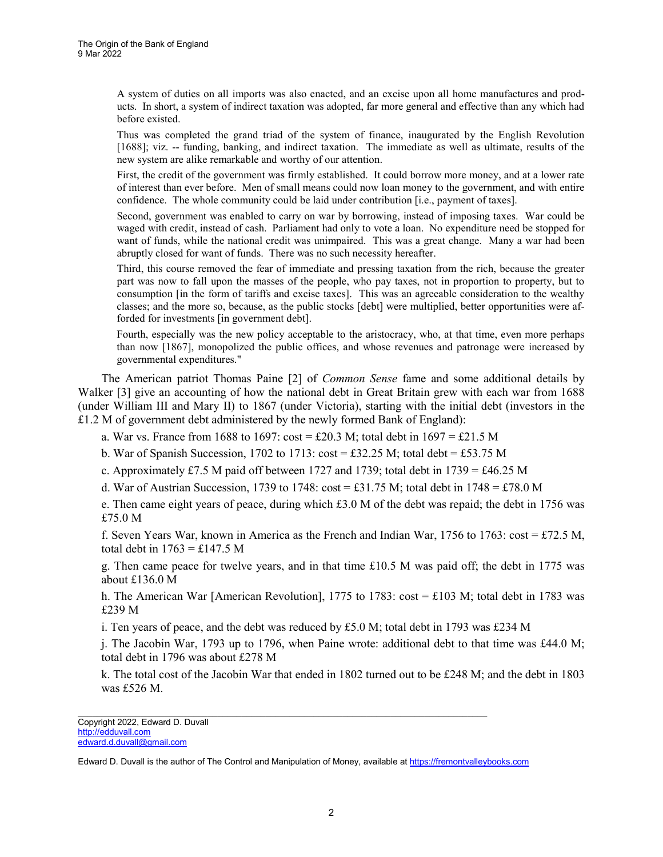A system of duties on all imports was also enacted, and an excise upon all home manufactures and products. In short, a system of indirect taxation was adopted, far more general and effective than any which had before existed.

Thus was completed the grand triad of the system of finance, inaugurated by the English Revolution [1688]; viz. -- funding, banking, and indirect taxation. The immediate as well as ultimate, results of the new system are alike remarkable and worthy of our attention.

First, the credit of the government was firmly established. It could borrow more money, and at a lower rate of interest than ever before. Men of small means could now loan money to the government, and with entire confidence. The whole community could be laid under contribution [i.e., payment of taxes].

Second, government was enabled to carry on war by borrowing, instead of imposing taxes. War could be waged with credit, instead of cash. Parliament had only to vote a loan. No expenditure need be stopped for want of funds, while the national credit was unimpaired. This was a great change. Many a war had been abruptly closed for want of funds. There was no such necessity hereafter.

Third, this course removed the fear of immediate and pressing taxation from the rich, because the greater part was now to fall upon the masses of the people, who pay taxes, not in proportion to property, but to consumption [in the form of tariffs and excise taxes]. This was an agreeable consideration to the wealthy classes; and the more so, because, as the public stocks [debt] were multiplied, better opportunities were afforded for investments [in government debt].

Fourth, especially was the new policy acceptable to the aristocracy, who, at that time, even more perhaps than now [1867], monopolized the public offices, and whose revenues and patronage were increased by governmental expenditures."

The American patriot Thomas Paine [2] of *Common Sense* fame and some additional details by Walker [3] give an accounting of how the national debt in Great Britain grew with each war from 1688 (under William III and Mary II) to 1867 (under Victoria), starting with the initial debt (investors in the £1.2 M of government debt administered by the newly formed Bank of England):

a. War vs. France from 1688 to 1697: cost = £20.3 M; total debt in  $1697 = \text{\textsterling}21.5$  M

b. War of Spanish Succession, 1702 to 1713:  $\cos t = \pounds 32.25$  M; total debt = £53.75 M

c. Approximately £7.5 M paid off between 1727 and 1739; total debt in 1739 = £46.25 M

d. War of Austrian Succession, 1739 to 1748:  $\cos t = \pounds 31.75$  M; total debt in 1748 = £78.0 M

e. Then came eight years of peace, during which £3.0 M of the debt was repaid; the debt in 1756 was £75.0 M

f. Seven Years War, known in America as the French and Indian War, 1756 to 1763:  $\cos t = \pounds 72.5$  M, total debt in  $1763 = \text{\textsterling}147.5$  M

g. Then came peace for twelve years, and in that time £10.5 M was paid off; the debt in 1775 was about £136.0 M

h. The American War [American Revolution], 1775 to 1783: cost = £103 M; total debt in 1783 was £239 M

i. Ten years of peace, and the debt was reduced by £5.0 M; total debt in 1793 was £234 M

j. The Jacobin War, 1793 up to 1796, when Paine wrote: additional debt to that time was £44.0 M; total debt in 1796 was about £278 M

k. The total cost of the Jacobin War that ended in 1802 turned out to be £248 M; and the debt in 1803 was £526 M.

 $\mathcal{L}_\mathcal{L} = \{ \mathcal{L}_\mathcal{L} = \{ \mathcal{L}_\mathcal{L} = \{ \mathcal{L}_\mathcal{L} = \{ \mathcal{L}_\mathcal{L} = \{ \mathcal{L}_\mathcal{L} = \{ \mathcal{L}_\mathcal{L} = \{ \mathcal{L}_\mathcal{L} = \{ \mathcal{L}_\mathcal{L} = \{ \mathcal{L}_\mathcal{L} = \{ \mathcal{L}_\mathcal{L} = \{ \mathcal{L}_\mathcal{L} = \{ \mathcal{L}_\mathcal{L} = \{ \mathcal{L}_\mathcal{L} = \{ \mathcal{L}_\mathcal{$ 

Copyright 2022, Edward D. Duvall [http://edduvall.com](http://edduvall.com/) edward.d.duvall@gmail.com

Edward D. Duvall is the author of The Control and Manipulation of Money, available a[t https://fremontvalleybooks.com](https://fremontvalleybooks.com/)